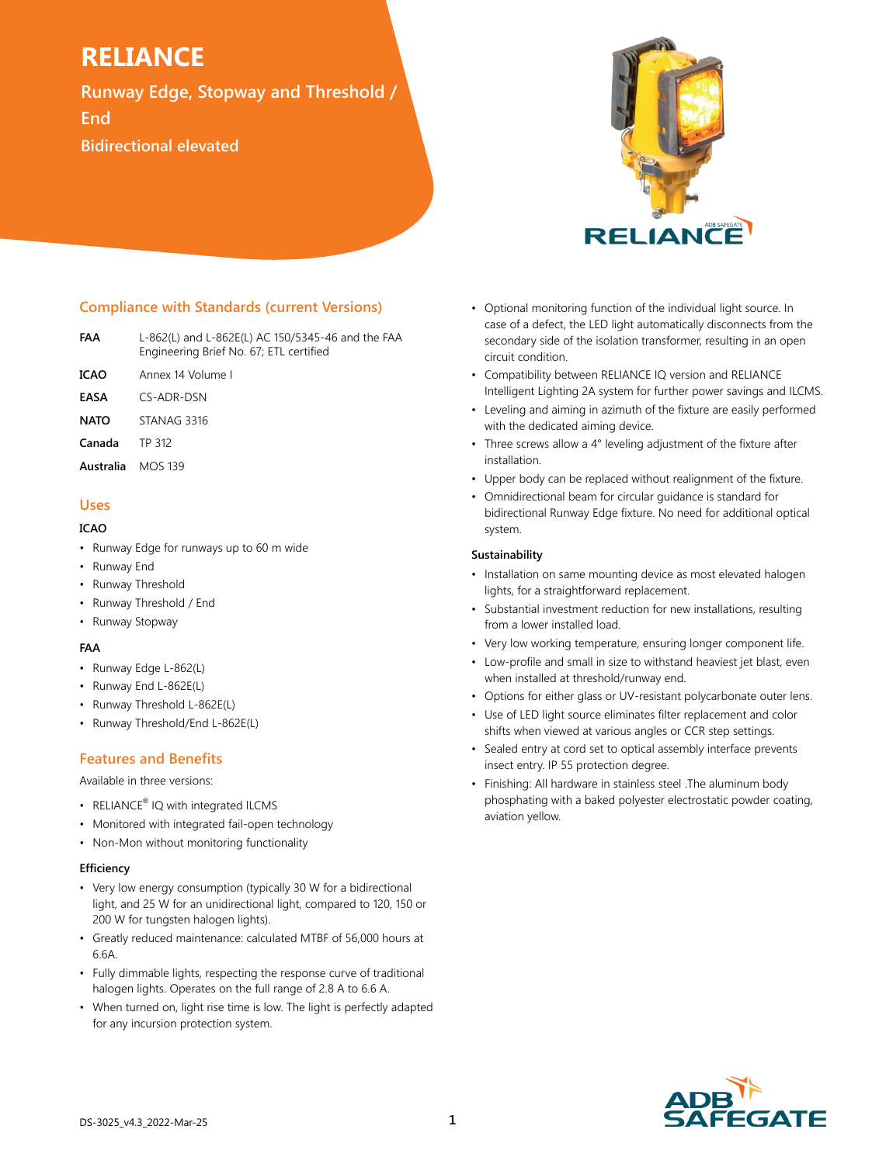**Runway Edge, Stopway and Threshold / End Bidirectional elevated**



# **Compliance with Standards (current Versions)**

- **FAA** L-862(L) and L-862E(L) AC 150/5345-46 and the FAA Engineering Brief No. 67; ETL certified
- **ICAO** Annex 14 Volume I
- **EASA** CS-ADR-DSN
- **NATO** STANAG 3316
- **Canada** TP 312
- **Australia** MOS 139

# **Uses**

### **ICAO**

- Runway Edge for runways up to 60 m wide
- Runway End
- Runway Threshold
- Runway Threshold / End
- Runway Stopway

## **FAA**

- Runway Edge L-862(L)
- Runway End L-862E(L)
- Runway Threshold L-862E(L)
- Runway Threshold/End L-862E(L)

# **Features and Benefits**

Available in three versions:

- RELIANCE<sup>®</sup> IQ with integrated ILCMS
- Monitored with integrated fail-open technology
- Non-Mon without monitoring functionality

## **Efficiency**

- Very low energy consumption (typically 30 W for a bidirectional light, and 25 W for an unidirectional light, compared to 120, 150 or 200 W for tungsten halogen lights).
- Greatly reduced maintenance: calculated MTBF of 56,000 hours at 6.6A.
- Fully dimmable lights, respecting the response curve of traditional halogen lights. Operates on the full range of 2.8 A to 6.6 A.
- When turned on, light rise time is low. The light is perfectly adapted for any incursion protection system.
- Optional monitoring function of the individual light source. In case of a defect, the LED light automatically disconnects from the secondary side of the isolation transformer, resulting in an open circuit condition.
- Compatibility between RELIANCE IQ version and RELIANCE Intelligent Lighting 2A system for further power savings and ILCMS.
- Leveling and aiming in azimuth of the fixture are easily performed with the dedicated aiming device.
- Three screws allow a 4° leveling adjustment of the fixture after installation.
- Upper body can be replaced without realignment of the fixture.
- Omnidirectional beam for circular guidance is standard for bidirectional Runway Edge fixture. No need for additional optical system.

#### **Sustainability**

- Installation on same mounting device as most elevated halogen lights, for a straightforward replacement.
- Substantial investment reduction for new installations, resulting from a lower installed load.
- Very low working temperature, ensuring longer component life.
- Low-profile and small in size to withstand heaviest jet blast, even when installed at threshold/runway end.
- Options for either glass or UV-resistant polycarbonate outer lens.
- Use of LED light source eliminates filter replacement and color shifts when viewed at various angles or CCR step settings.
- Sealed entry at cord set to optical assembly interface prevents insect entry. IP 55 protection degree.
- Finishing: All hardware in stainless steel .The aluminum body phosphating with a baked polyester electrostatic powder coating, aviation yellow.

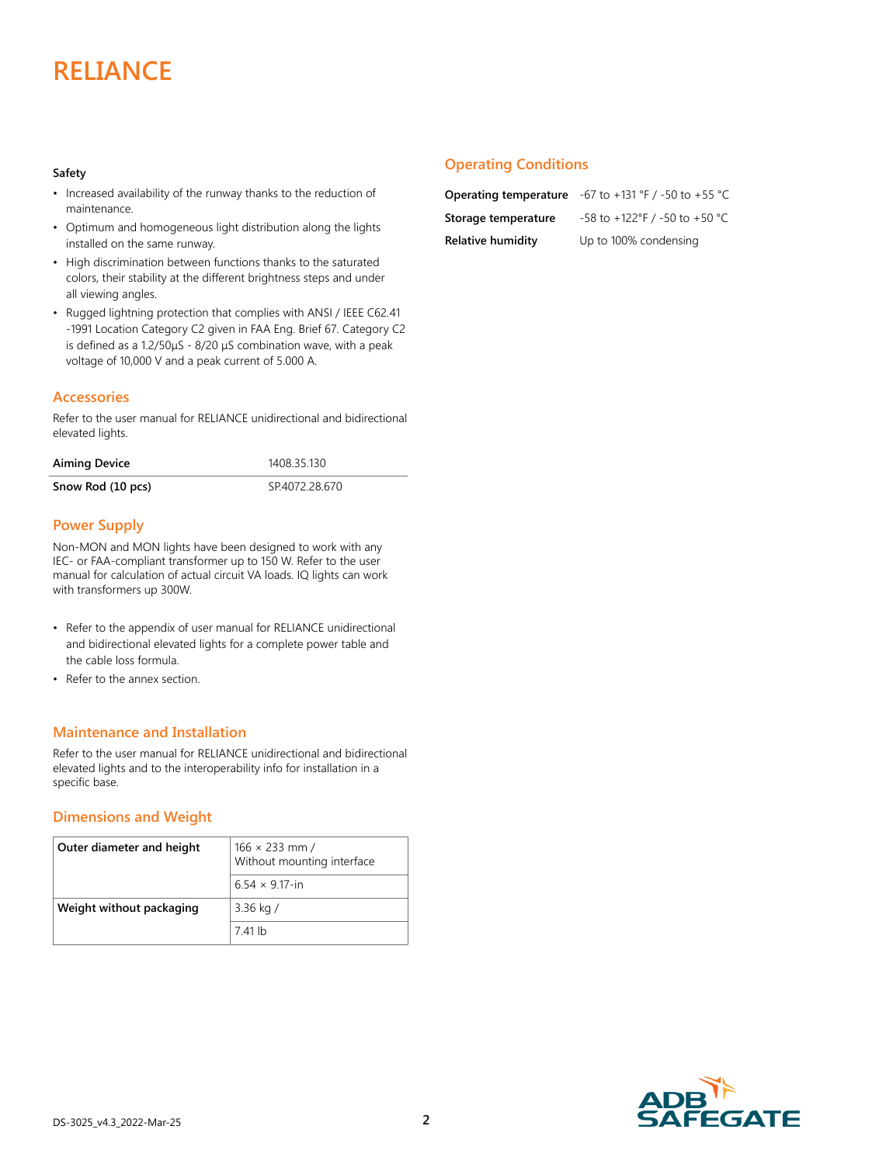#### **Safety**

- Increased availability of the runway thanks to the reduction of maintenance.
- Optimum and homogeneous light distribution along the lights installed on the same runway.
- High discrimination between functions thanks to the saturated colors, their stability at the different brightness steps and under all viewing angles.
- Rugged lightning protection that complies with ANSI / IEEE C62.41 -1991 Location Category C2 given in FAA Eng. Brief 67. Category C2 is defined as a 1.2/50μS - 8/20 μS combination wave, with a peak voltage of 10,000 V and a peak current of 5.000 A.

## **Accessories**

Refer to the user manual for RELIANCE unidirectional and bidirectional elevated lights.

| <b>Aiming Device</b> | 1408.35.130   |  |  |
|----------------------|---------------|--|--|
| Snow Rod (10 pcs)    | SP4072.28.670 |  |  |

# **Power Supply**

Non-MON and MON lights have been designed to work with any IEC- or FAA-compliant transformer up to 150 W. Refer to the user manual for calculation of actual circuit VA loads. IQ lights can work with transformers up 300W.

- Refer to the appendix of user manual for RELIANCE unidirectional and bidirectional elevated lights for a complete power table and the cable loss formula.
- Refer to the annex section.

## **Maintenance and Installation**

Refer to the user manual for RELIANCE unidirectional and bidirectional elevated lights and to the interoperability info for installation in a specific base.

## **Dimensions and Weight**

| Outer diameter and height | $166 \times 233$ mm /<br>Without mounting interface |
|---------------------------|-----------------------------------------------------|
|                           | $6.54 \times 9.17$ -in                              |
| Weight without packaging  | 3.36 kg $/$                                         |
|                           | 7.41 lb                                             |

## **Operating Conditions**

**Relative humidity** Up to 100% condensing

**Operating temperature** -67 to +131 °F / -50 to +55 °C **Storage temperature** -58 to +122°F / -50 to +50 °C

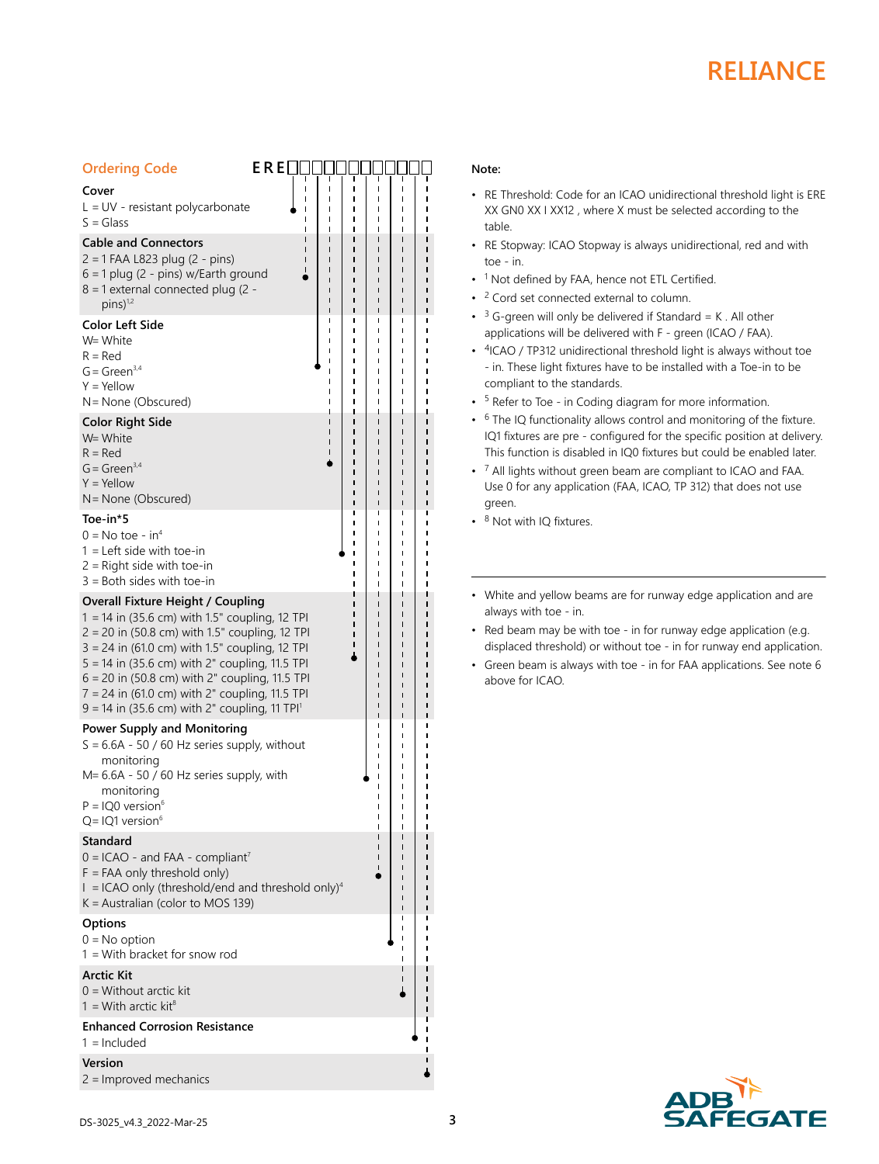| <b>Ordering Code</b>                                                                                          | $E$ R $E$ $\Box$ $\Box$ |   |             |             |
|---------------------------------------------------------------------------------------------------------------|-------------------------|---|-------------|-------------|
| Cover                                                                                                         |                         | Ï | ı<br>п      | ı           |
| $L = UV$ - resistant polycarbonate<br>$S = Glass$                                                             |                         |   | ı<br>ı<br>ı | ı           |
| <b>Cable and Connectors</b>                                                                                   |                         |   | ī           |             |
| $2 = 1$ FAA L823 plug (2 - pins)<br>$6 = 1$ plug (2 - pins) w/Earth ground                                    |                         |   |             |             |
| 8 = 1 external connected plug (2 -<br>$pins)$ <sup>1,2</sup>                                                  |                         |   | ı<br>ı      |             |
| <b>Color Left Side</b>                                                                                        |                         |   | ı           | ı           |
| W= White<br>$R = Red$                                                                                         |                         | ı | ı           | ı<br>1      |
| $G = Green3,4$                                                                                                |                         |   | ı           |             |
| $Y = Y$ ellow                                                                                                 |                         |   |             |             |
| N = None (Obscured)<br><b>Color Right Side</b>                                                                |                         |   |             |             |
| W= White                                                                                                      |                         |   |             |             |
| $R = Red$<br>$G = Green3,4$                                                                                   |                         |   |             |             |
| $Y = Y$ ellow                                                                                                 |                         |   |             |             |
| N = None (Obscured)                                                                                           |                         |   |             |             |
| Toe-in*5                                                                                                      |                         |   | ı           |             |
| $0 = No$ toe - in <sup>4</sup><br>$1 =$ Left side with toe-in                                                 |                         |   |             |             |
| $2$ = Right side with toe-in                                                                                  |                         |   | ı           |             |
| $3 =$ Both sides with toe-in                                                                                  |                         |   |             | 1           |
| <b>Overall Fixture Height / Coupling</b><br>1 = 14 in (35.6 cm) with 1.5" coupling, 12 TPI                    |                         |   |             |             |
| 2 = 20 in (50.8 cm) with 1.5" coupling, 12 TPI                                                                |                         |   |             |             |
| 3 = 24 in (61.0 cm) with 1.5" coupling, 12 TPI<br>5 = 14 in (35.6 cm) with 2" coupling, 11.5 TPI              |                         |   |             |             |
| 6 = 20 in (50.8 cm) with 2" coupling, 11.5 TPI                                                                |                         |   |             |             |
| 7 = 24 in (61.0 cm) with 2" coupling, 11.5 TPI<br>$9 = 14$ in (35.6 cm) with 2" coupling, 11 TPI <sup>1</sup> |                         |   |             |             |
| <b>Power Supply and Monitoring</b>                                                                            |                         |   | ı           |             |
| $S = 6.6A - 50 / 60 Hz$ series supply, without                                                                |                         |   | ı<br>ı      |             |
| monitoring                                                                                                    |                         |   | ı           |             |
| M= 6.6A - 50 / 60 Hz series supply, with<br>monitoring                                                        |                         |   |             |             |
| $P = IQ0$ version <sup>6</sup>                                                                                |                         |   |             | ı<br>ı      |
| $Q = IQ1$ version <sup>6</sup><br>Standard                                                                    |                         |   |             | ı<br>ı      |
| $0 = ICAO -$ and FAA - compliant <sup>7</sup>                                                                 |                         |   |             |             |
| $F = FAA$ only threshold only)                                                                                |                         |   | ı           |             |
| $I = ICAO$ only (threshold/end and threshold only) <sup>4</sup><br>K = Australian (color to MOS 139)          |                         |   |             |             |
| <b>Options</b>                                                                                                |                         |   |             | ı<br>ı<br>ı |
| $0 = No$ option                                                                                               |                         |   |             |             |
| $1 =$ With bracket for snow rod<br>Arctic Kit                                                                 |                         |   |             |             |
| $0 =$ Without arctic kit                                                                                      |                         |   |             |             |
| 1 = With arctic kit <sup>8</sup>                                                                              |                         |   |             |             |
| <b>Enhanced Corrosion Resistance</b><br>$1 =$ Included                                                        |                         |   |             |             |
| Version                                                                                                       |                         |   |             |             |
| $2 =$ Improved mechanics                                                                                      |                         |   |             |             |
|                                                                                                               |                         |   |             |             |

### **Note:**

- RE Threshold: Code for an ICAO unidirectional threshold light is ERE XX GN0 XX I XX12 , where X must be selected according to the table.
- RE Stopway: ICAO Stopway is always unidirectional, red and with toe - in.
- <sup>1</sup> Not defined by FAA, hence not ETL Certified.
- <sup>2</sup> Cord set connected external to column.
- $\cdot$  <sup>3</sup> G-green will only be delivered if Standard = K. All other applications will be delivered with F - green (ICAO / FAA).
- <sup>4</sup>ICAO / TP312 unidirectional threshold light is always without toe - in. These light fixtures have to be installed with a Toe-in to be compliant to the standards.
- <sup>5</sup> Refer to Toe in Coding diagram for more information.
- $\cdot$  <sup>6</sup> The IQ functionality allows control and monitoring of the fixture. IQ1 fixtures are pre - configured for the specific position at delivery. This function is disabled in IQ0 fixtures but could be enabled later.
- $\cdot$  <sup>7</sup> All lights without green beam are compliant to ICAO and FAA. Use 0 for any application (FAA, ICAO, TP 312) that does not use green.
- 8 Not with IQ fixtures.
- White and yellow beams are for runway edge application and are always with toe - in.
- Red beam may be with toe in for runway edge application (e.g. displaced threshold) or without toe - in for runway end application.
- Green beam is always with toe in for FAA applications. See note 6 above for ICAO.